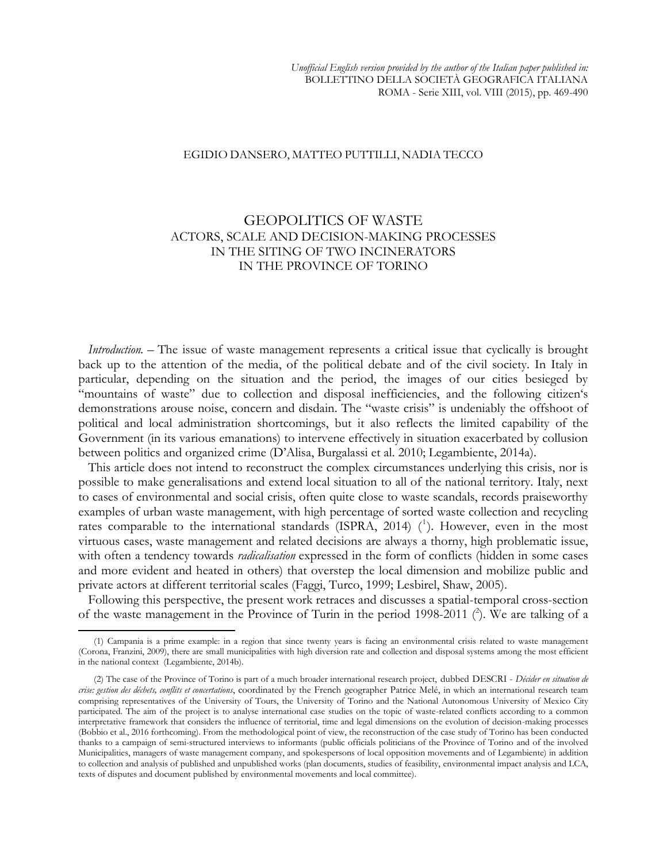## EGIDIO DANSERO, MATTEO PUTTILLI, NADIA TECCO

## GEOPOLITICS OF WASTE ACTORS, SCALE AND DECISION-MAKING PROCESSES IN THE SITING OF TWO INCINERATORS IN THE PROVINCE OF TORINO

*Introduction.* – The issue of waste management represents a critical issue that cyclically is brought back up to the attention of the media, of the political debate and of the civil society. In Italy in particular, depending on the situation and the period, the images of our cities besieged by "mountains of waste" due to collection and disposal inefficiencies, and the following citizen's demonstrations arouse noise, concern and disdain. The "waste crisis" is undeniably the offshoot of political and local administration shortcomings, but it also reflects the limited capability of the Government (in its various emanations) to intervene effectively in situation exacerbated by collusion between politics and organized crime (D'Alisa, Burgalassi et al. 2010; Legambiente, 2014a).

 This article does not intend to reconstruct the complex circumstances underlying this crisis, nor is possible to make generalisations and extend local situation to all of the national territory. Italy, next to cases of environmental and social crisis, often quite close to waste scandals, records praiseworthy examples of urban waste management, with high percentage of sorted waste collection and recycling rates comparable to the international standards (ISPRA, 2014)  $(^1)$ . However, even in the most virtuous cases, waste management and related decisions are always a thorny, high problematic issue, with often a tendency towards *radicalisation* expressed in the form of conflicts (hidden in some cases and more evident and heated in others) that overstep the local dimension and mobilize public and private actors at different territorial scales (Faggi, Turco, 1999; Lesbirel, Shaw, 2005).

 Following this perspective, the present work retraces and discusses a spatial-temporal cross-section of the waste management in the Province of Turin in the period 1998-2011  $(2)$ . We are talking of a

<sup>(1)</sup> Campania is a prime example: in a region that since twenty years is facing an environmental crisis related to waste management (Corona, Franzini, 2009), there are small municipalities with high diversion rate and collection and disposal systems among the most efficient in the national context (Legambiente, 2014b).

<sup>(2)</sup> The case of the Province of Torino is part of a much broader international research project, dubbed DESCRI - *Décider en situation de crise: gestion des déchets, conflits et concertations*, coordinated by the French geographer Patrice Melé, in which an international research team comprising representatives of the University of Tours, the University of Torino and the National Autonomous University of Mexico City participated. The aim of the project is to analyse international case studies on the topic of waste-related conflicts according to a common interpretative framework that considers the influence of territorial, time and legal dimensions on the evolution of decision-making processes (Bobbio et al., 2016 forthcoming). From the methodological point of view, the reconstruction of the case study of Torino has been conducted thanks to a campaign of semi-structured interviews to informants (public officials politicians of the Province of Torino and of the involved Municipalities, managers of waste management company, and spokespersons of local opposition movements and of Legambiente) in addition to collection and analysis of published and unpublished works (plan documents, studies of feasibility, environmental impact analysis and LCA, texts of disputes and document published by environmental movements and local committee).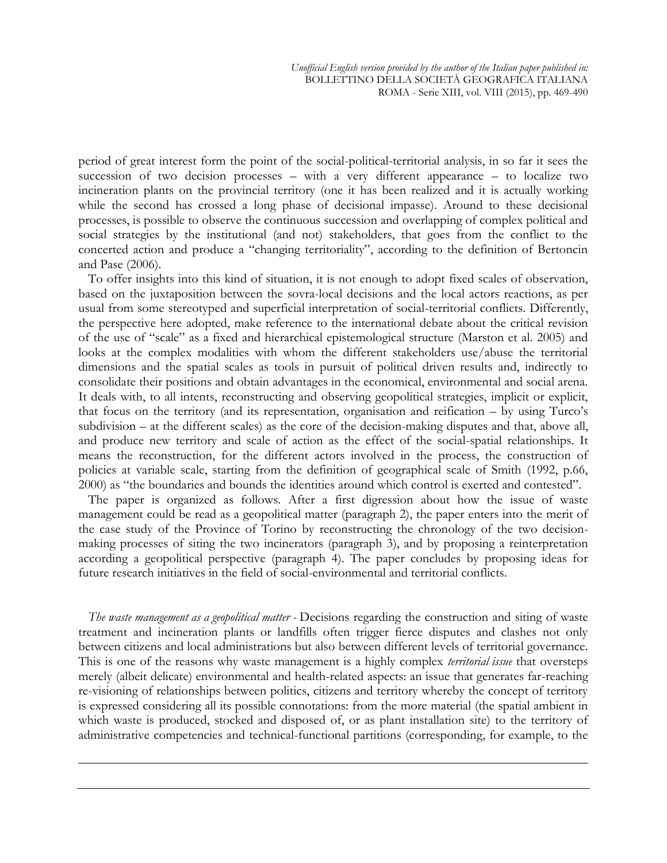period of great interest form the point of the social-political-territorial analysis, in so far it sees the succession of two decision processes – with a very different appearance – to localize two incineration plants on the provincial territory (one it has been realized and it is actually working while the second has crossed a long phase of decisional impasse). Around to these decisional processes, is possible to observe the continuous succession and overlapping of complex political and social strategies by the institutional (and not) stakeholders, that goes from the conflict to the concerted action and produce a "changing territoriality", according to the definition of Bertoncin and Pase (2006).

 To offer insights into this kind of situation, it is not enough to adopt fixed scales of observation, based on the juxtaposition between the sovra-local decisions and the local actors reactions, as per usual from some stereotyped and superficial interpretation of social-territorial conflicts. Differently, the perspective here adopted, make reference to the international debate about the critical revision of the use of "scale" as a fixed and hierarchical epistemological structure (Marston et al. 2005) and looks at the complex modalities with whom the different stakeholders use/abuse the territorial dimensions and the spatial scales as tools in pursuit of political driven results and, indirectly to consolidate their positions and obtain advantages in the economical, environmental and social arena. It deals with, to all intents, reconstructing and observing geopolitical strategies, implicit or explicit, that focus on the territory (and its representation, organisation and reification – by using Turco's subdivision – at the different scales) as the core of the decision-making disputes and that, above all, and produce new territory and scale of action as the effect of the social-spatial relationships. It means the reconstruction, for the different actors involved in the process, the construction of policies at variable scale, starting from the definition of geographical scale of Smith (1992, p.66, 2000) as "the boundaries and bounds the identities around which control is exerted and contested".

 The paper is organized as follows. After a first digression about how the issue of waste management could be read as a geopolitical matter (paragraph 2), the paper enters into the merit of the case study of the Province of Torino by reconstructing the chronology of the two decisionmaking processes of siting the two incinerators (paragraph 3), and by proposing a reinterpretation according a geopolitical perspective (paragraph 4). The paper concludes by proposing ideas for future research initiatives in the field of social-environmental and territorial conflicts.

 *The waste management as a geopolitical matter -* Decisions regarding the construction and siting of waste treatment and incineration plants or landfills often trigger fierce disputes and clashes not only between citizens and local administrations but also between different levels of territorial governance. This is one of the reasons why waste management is a highly complex *territorial issue* that oversteps merely (albeit delicate) environmental and health-related aspects: an issue that generates far-reaching re-visioning of relationships between politics, citizens and territory whereby the concept of territory is expressed considering all its possible connotations: from the more material (the spatial ambient in which waste is produced, stocked and disposed of, or as plant installation site) to the territory of administrative competencies and technical-functional partitions (corresponding, for example, to the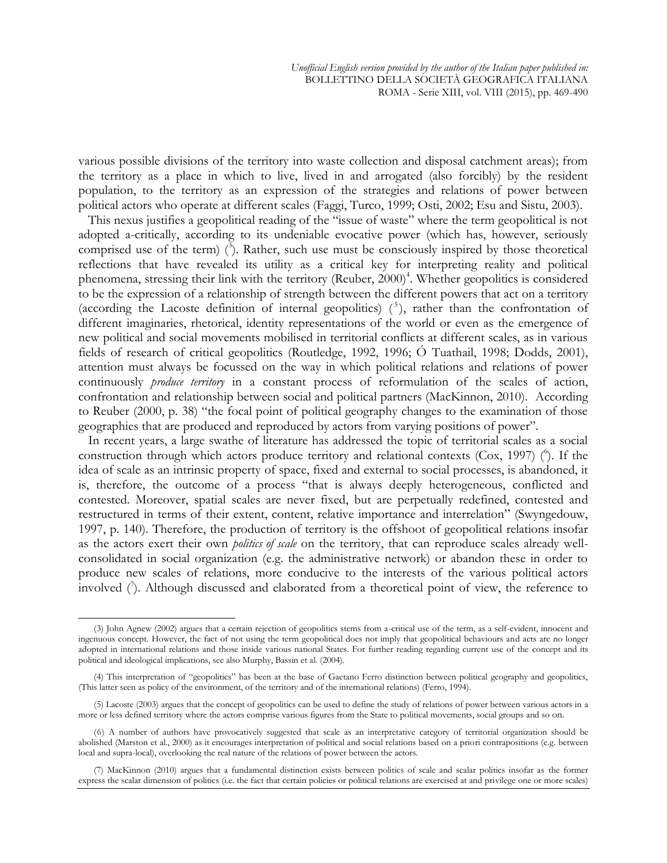various possible divisions of the territory into waste collection and disposal catchment areas); from the territory as a place in which to live, lived in and arrogated (also forcibly) by the resident population, to the territory as an expression of the strategies and relations of power between political actors who operate at different scales (Faggi, Turco, 1999; Osti, 2002; Esu and Sistu, 2003).

 This nexus justifies a geopolitical reading of the "issue of waste" where the term geopolitical is not adopted a-critically, according to its undeniable evocative power (which has, however, seriously comprised use of the term)  $(3)$ . Rather, such use must be consciously inspired by those theoretical reflections that have revealed its utility as a critical key for interpreting reality and political phenomena, stressing their link with the territory (Reuber, 2000)<sup>4</sup>. Whether geopolitics is considered to be the expression of a relationship of strength between the different powers that act on a territory (according the Lacoste definition of internal geopolitics)  $(5)$ , rather than the confrontation of different imaginaries, rhetorical, identity representations of the world or even as the emergence of new political and social movements mobilised in territorial conflicts at different scales, as in various fields of research of critical geopolitics (Routledge, 1992, 1996; Ó Tuathail, 1998; Dodds, 2001), attention must always be focussed on the way in which political relations and relations of power continuously *produce territory* in a constant process of reformulation of the scales of action, confrontation and relationship between social and political partners (MacKinnon, 2010). According to Reuber (2000, p. 38) "the focal point of political geography changes to the examination of those geographies that are produced and reproduced by actors from varying positions of power".

 In recent years, a large swathe of literature has addressed the topic of territorial scales as a social construction through which actors produce territory and relational contexts (Cox, 1997) (<sup>6</sup>). If the idea of scale as an intrinsic property of space, fixed and external to social processes, is abandoned, it is, therefore, the outcome of a process "that is always deeply heterogeneous, conflicted and contested. Moreover, spatial scales are never fixed, but are perpetually redefined, contested and restructured in terms of their extent, content, relative importance and interrelation" (Swyngedouw, 1997, p. 140). Therefore, the production of territory is the offshoot of geopolitical relations insofar as the actors exert their own *politics of scale* on the territory, that can reproduce scales already wellconsolidated in social organization (e.g. the administrative network) or abandon these in order to produce new scales of relations, more conducive to the interests of the various political actors involved  $\binom{7}{1}$ . Although discussed and elaborated from a theoretical point of view, the reference to

<sup>(3)</sup> John Agnew (2002) argues that a certain rejection of geopolitics stems from a-critical use of the term, as a self-evident, innocent and ingenuous concept. However, the fact of not using the term geopolitical does not imply that geopolitical behaviours and acts are no longer adopted in international relations and those inside various national States. For further reading regarding current use of the concept and its political and ideological implications, see also Murphy, Bassin et al. (2004).

<sup>(4)</sup> This interpretation of "geopolitics" has been at the base of Gaetano Ferro distinction between political geography and geopolitics, (This latter seen as policy of the environment, of the territory and of the international relations) (Ferro, 1994).

<sup>(5)</sup> Lacoste (2003) argues that the concept of geopolitics can be used to define the study of relations of power between various actors in a more or less defined territory where the actors comprise various figures from the State to political movements, social groups and so on.

<sup>(6)</sup> A number of authors have provocatively suggested that scale as an interpretative category of territorial organization should be abolished (Marston et al., 2000) as it encourages interpretation of political and social relations based on a priori contrapositions (e.g. between local and supra-local), overlooking the real nature of the relations of power between the actors.

<sup>(7)</sup> MacKinnon (2010) argues that a fundamental distinction exists between politics of scale and scalar politics insofar as the former express the scalar dimension of politics (i.e. the fact that certain policies or political relations are exercised at and privilege one or more scales)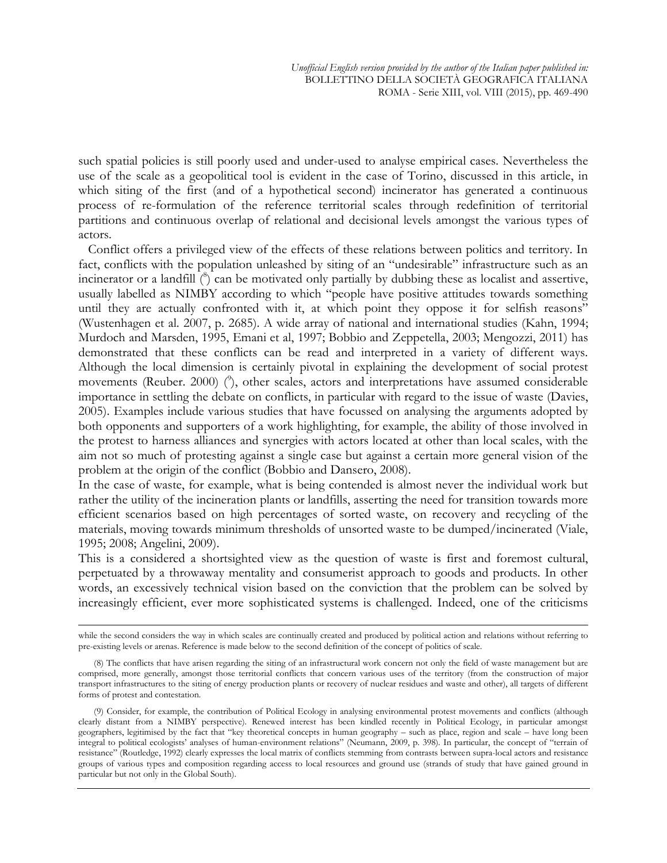such spatial policies is still poorly used and under-used to analyse empirical cases. Nevertheless the use of the scale as a geopolitical tool is evident in the case of Torino, discussed in this article, in which siting of the first (and of a hypothetical second) incinerator has generated a continuous process of re-formulation of the reference territorial scales through redefinition of territorial partitions and continuous overlap of relational and decisional levels amongst the various types of actors.

 Conflict offers a privileged view of the effects of these relations between politics and territory. In fact, conflicts with the population unleashed by siting of an "undesirable" infrastructure such as an incinerator or a landfill (<sup>8</sup>) can be motivated only partially by dubbing these as localist and assertive, usually labelled as NIMBY according to which "people have positive attitudes towards something until they are actually confronted with it, at which point they oppose it for selfish reasons" (Wustenhagen et al. 2007, p. 2685). A wide array of national and international studies (Kahn, 1994; Murdoch and Marsden, 1995, Emani et al, 1997; Bobbio and Zeppetella, 2003; Mengozzi, 2011) has demonstrated that these conflicts can be read and interpreted in a variety of different ways. Although the local dimension is certainly pivotal in explaining the development of social protest movements (Reuber. 2000) (<sup>o</sup>), other scales, actors and interpretations have assumed considerable importance in settling the debate on conflicts, in particular with regard to the issue of waste (Davies, 2005). Examples include various studies that have focussed on analysing the arguments adopted by both opponents and supporters of a work highlighting, for example, the ability of those involved in the protest to harness alliances and synergies with actors located at other than local scales, with the aim not so much of protesting against a single case but against a certain more general vision of the problem at the origin of the conflict (Bobbio and Dansero, 2008).

In the case of waste, for example, what is being contended is almost never the individual work but rather the utility of the incineration plants or landfills, asserting the need for transition towards more efficient scenarios based on high percentages of sorted waste, on recovery and recycling of the materials, moving towards minimum thresholds of unsorted waste to be dumped/incinerated (Viale, 1995; 2008; Angelini, 2009).

This is a considered a shortsighted view as the question of waste is first and foremost cultural, perpetuated by a throwaway mentality and consumerist approach to goods and products. In other words, an excessively technical vision based on the conviction that the problem can be solved by increasingly efficient, ever more sophisticated systems is challenged. Indeed, one of the criticisms

 while the second considers the way in which scales are continually created and produced by political action and relations without referring to pre-existing levels or arenas. Reference is made below to the second definition of the concept of politics of scale.

<sup>(8)</sup> The conflicts that have arisen regarding the siting of an infrastructural work concern not only the field of waste management but are comprised, more generally, amongst those territorial conflicts that concern various uses of the territory (from the construction of major transport infrastructures to the siting of energy production plants or recovery of nuclear residues and waste and other), all targets of different forms of protest and contestation.

<sup>(9)</sup> Consider, for example, the contribution of Political Ecology in analysing environmental protest movements and conflicts (although clearly distant from a NIMBY perspective). Renewed interest has been kindled recently in Political Ecology, in particular amongst geographers, legitimised by the fact that "key theoretical concepts in human geography – such as place, region and scale – have long been integral to political ecologists' analyses of human-environment relations" (Neumann, 2009, p. 398). In particular, the concept of "terrain of resistance" (Routledge, 1992) clearly expresses the local matrix of conflicts stemming from contrasts between supra-local actors and resistance groups of various types and composition regarding access to local resources and ground use (strands of study that have gained ground in particular but not only in the Global South).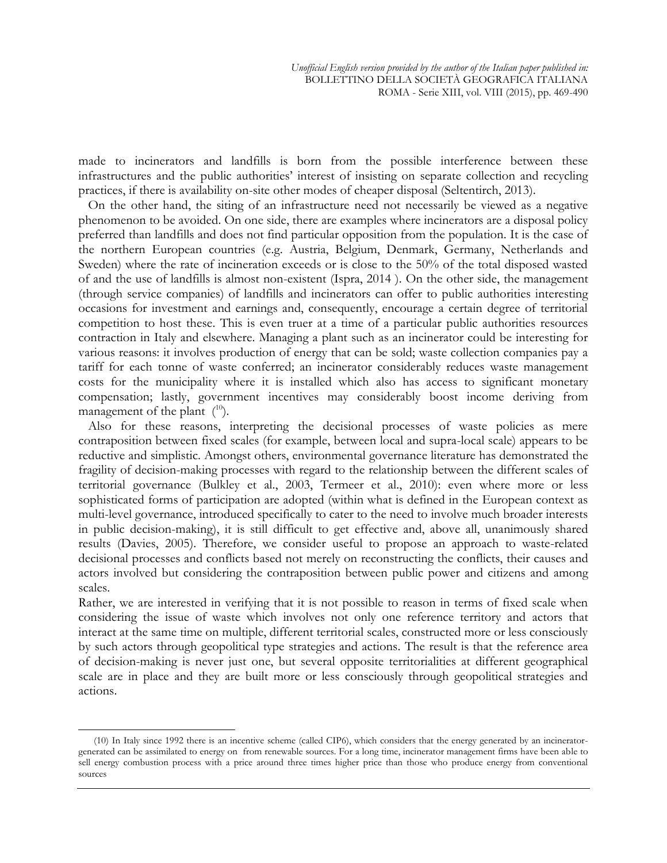made to incinerators and landfills is born from the possible interference between these infrastructures and the public authorities' interest of insisting on separate collection and recycling practices, if there is availability on-site other modes of cheaper disposal (Seltentirch, 2013).

 On the other hand, the siting of an infrastructure need not necessarily be viewed as a negative phenomenon to be avoided. On one side, there are examples where incinerators are a disposal policy preferred than landfills and does not find particular opposition from the population. It is the case of the northern European countries (e.g. Austria, Belgium, Denmark, Germany, Netherlands and Sweden) where the rate of incineration exceeds or is close to the 50% of the total disposed wasted of and the use of landfills is almost non-existent (Ispra, 2014 ). On the other side, the management (through service companies) of landfills and incinerators can offer to public authorities interesting occasions for investment and earnings and, consequently, encourage a certain degree of territorial competition to host these. This is even truer at a time of a particular public authorities resources contraction in Italy and elsewhere. Managing a plant such as an incinerator could be interesting for various reasons: it involves production of energy that can be sold; waste collection companies pay a tariff for each tonne of waste conferred; an incinerator considerably reduces waste management costs for the municipality where it is installed which also has access to significant monetary compensation; lastly, government incentives may considerably boost income deriving from management of the plant  $(^{10})$ .

 Also for these reasons, interpreting the decisional processes of waste policies as mere contraposition between fixed scales (for example, between local and supra-local scale) appears to be reductive and simplistic. Amongst others, environmental governance literature has demonstrated the fragility of decision-making processes with regard to the relationship between the different scales of territorial governance (Bulkley et al., 2003, Termeer et al., 2010): even where more or less sophisticated forms of participation are adopted (within what is defined in the European context as multi-level governance, introduced specifically to cater to the need to involve much broader interests in public decision-making), it is still difficult to get effective and, above all, unanimously shared results (Davies, 2005). Therefore, we consider useful to propose an approach to waste-related decisional processes and conflicts based not merely on reconstructing the conflicts, their causes and actors involved but considering the contraposition between public power and citizens and among scales.

Rather, we are interested in verifying that it is not possible to reason in terms of fixed scale when considering the issue of waste which involves not only one reference territory and actors that interact at the same time on multiple, different territorial scales, constructed more or less consciously by such actors through geopolitical type strategies and actions. The result is that the reference area of decision-making is never just one, but several opposite territorialities at different geographical scale are in place and they are built more or less consciously through geopolitical strategies and actions.

 $\overline{a}$ (10) In Italy since 1992 there is an incentive scheme (called CIP6), which considers that the energy generated by an incineratorgenerated can be assimilated to energy on from renewable sources. For a long time, incinerator management firms have been able to sell energy combustion process with a price around three times higher price than those who produce energy from conventional sources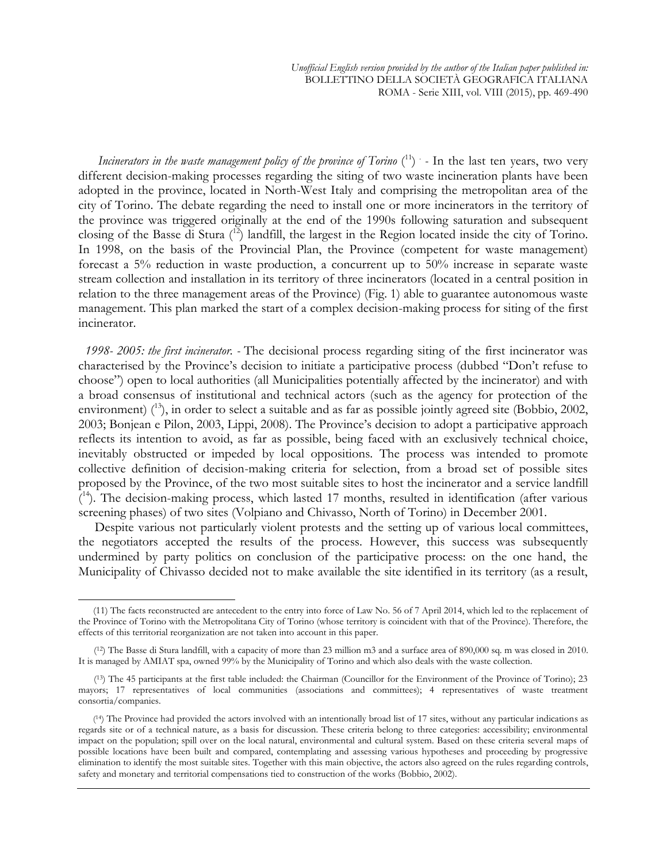*Incinerators in the waste management policy of the province of Torino*  $\binom{11}{1}$  - In the last ten years, two very different decision-making processes regarding the siting of two waste incineration plants have been adopted in the province, located in North-West Italy and comprising the metropolitan area of the city of Torino. The debate regarding the need to install one or more incinerators in the territory of the province was triggered originally at the end of the 1990s following saturation and subsequent closing of the Basse di Stura (<sup>12</sup>) landfill, the largest in the Region located inside the city of Torino. In 1998, on the basis of the Provincial Plan, the Province (competent for waste management) forecast a 5% reduction in waste production, a concurrent up to 50% increase in separate waste stream collection and installation in its territory of three incinerators (located in a central position in relation to the three management areas of the Province) (Fig. 1) able to guarantee autonomous waste management. This plan marked the start of a complex decision-making process for siting of the first incinerator.

 *1998- 2005: the first incinerator. -* The decisional process regarding siting of the first incinerator was characterised by the Province's decision to initiate a participative process (dubbed "Don't refuse to choose") open to local authorities (all Municipalities potentially affected by the incinerator) and with a broad consensus of institutional and technical actors (such as the agency for protection of the environment) (<sup>13</sup>), in order to select a suitable and as far as possible jointly agreed site (Bobbio, 2002, 2003; Bonjean e Pilon, 2003, Lippi, 2008). The Province's decision to adopt a participative approach reflects its intention to avoid, as far as possible, being faced with an exclusively technical choice, inevitably obstructed or impeded by local oppositions. The process was intended to promote collective definition of decision-making criteria for selection, from a broad set of possible sites proposed by the Province, of the two most suitable sites to host the incinerator and a service landfill ( <sup>14</sup>). The decision-making process, which lasted 17 months, resulted in identification (after various screening phases) of two sites (Volpiano and Chivasso, North of Torino) in December 2001.

 Despite various not particularly violent protests and the setting up of various local committees, the negotiators accepted the results of the process. However, this success was subsequently undermined by party politics on conclusion of the participative process: on the one hand, the Municipality of Chivasso decided not to make available the site identified in its territory (as a result,

 <sup>(11)</sup> The facts reconstructed are antecedent to the entry into force of Law No. 56 of 7 April 2014, which led to the replacement of the Province of Torino with the Metropolitana City of Torino (whose territory is coincident with that of the Province). Therefore, the effects of this territorial reorganization are not taken into account in this paper.

<sup>(</sup> <sup>12</sup>) The Basse di Stura landfill, with a capacity of more than 23 million m3 and a surface area of 890,000 sq. m was closed in 2010. It is managed by AMIAT spa, owned 99% by the Municipality of Torino and which also deals with the waste collection.

<sup>(</sup> <sup>13</sup>) The 45 participants at the first table included: the Chairman (Councillor for the Environment of the Province of Torino); 23 mayors; 17 representatives of local communities (associations and committees); 4 representatives of waste treatment consortia/companies.

( <sup>14</sup>) The Province had provided the actors involved with an intentionally broad list of 17 sites, without any particular indications as regards site or of a technical nature, as a basis for discussion. These criteria belong to three categories: accessibility; environmental impact on the population; spill over on the local natural, environmental and cultural system. Based on these criteria several maps of possible locations have been built and compared, contemplating and assessing various hypotheses and proceeding by progressive elimination to identify the most suitable sites. Together with this main objective, the actors also agreed on the rules regarding controls, safety and monetary and territorial compensations tied to construction of the works (Bobbio, 2002).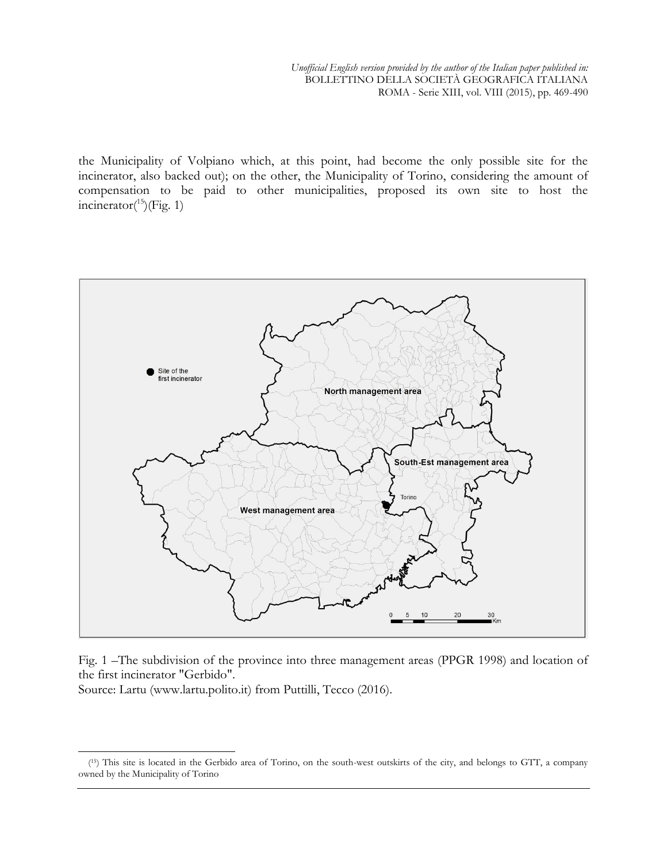*Unofficial English version provided by the author of the Italian paper published in:* BOLLETTINO DELLA SOCIETÀ GEOGRAFICA ITALIANA ROMA - Serie XIII, vol. VIII (2015), pp. 469-490

the Municipality of Volpiano which, at this point, had become the only possible site for the incinerator, also backed out); on the other, the Municipality of Torino, considering the amount of compensation to be paid to other municipalities, proposed its own site to host the incinerator $(^{15})$ (Fig. 1)



Fig. 1 –The subdivision of the province into three management areas (PPGR 1998) and location of the first incinerator "Gerbido".

Source: Lartu (www.lartu.polito.it) from Puttilli, Tecco (2016).

( <sup>15</sup>) This site is located in the Gerbido area of Torino, on the south-west outskirts of the city, and belongs to GTT, a company owned by the Municipality of Torino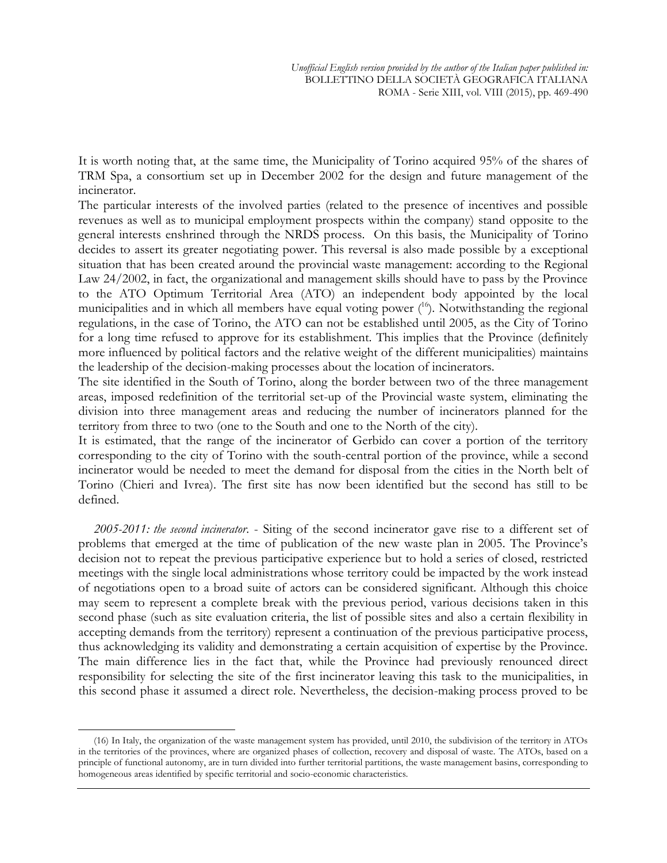It is worth noting that, at the same time, the Municipality of Torino acquired 95% of the shares of TRM Spa, a consortium set up in December 2002 for the design and future management of the incinerator.

The particular interests of the involved parties (related to the presence of incentives and possible revenues as well as to municipal employment prospects within the company) stand opposite to the general interests enshrined through the NRDS process. On this basis, the Municipality of Torino decides to assert its greater negotiating power. This reversal is also made possible by a exceptional situation that has been created around the provincial waste management: according to the Regional Law 24/2002, in fact, the organizational and management skills should have to pass by the Province to the ATO Optimum Territorial Area (ATO) an independent body appointed by the local municipalities and in which all members have equal voting power  $(16)$ . Notwithstanding the regional regulations, in the case of Torino, the ATO can not be established until 2005, as the City of Torino for a long time refused to approve for its establishment. This implies that the Province (definitely more influenced by political factors and the relative weight of the different municipalities) maintains the leadership of the decision-making processes about the location of incinerators.

The site identified in the South of Torino, along the border between two of the three management areas, imposed redefinition of the territorial set-up of the Provincial waste system, eliminating the division into three management areas and reducing the number of incinerators planned for the territory from three to two (one to the South and one to the North of the city).

It is estimated, that the range of the incinerator of Gerbido can cover a portion of the territory corresponding to the city of Torino with the south-central portion of the province, while a second incinerator would be needed to meet the demand for disposal from the cities in the North belt of Torino (Chieri and Ivrea). The first site has now been identified but the second has still to be defined.

*2005-2011: the second incinerator*. - Siting of the second incinerator gave rise to a different set of problems that emerged at the time of publication of the new waste plan in 2005. The Province's decision not to repeat the previous participative experience but to hold a series of closed, restricted meetings with the single local administrations whose territory could be impacted by the work instead of negotiations open to a broad suite of actors can be considered significant. Although this choice may seem to represent a complete break with the previous period, various decisions taken in this second phase (such as site evaluation criteria, the list of possible sites and also a certain flexibility in accepting demands from the territory) represent a continuation of the previous participative process, thus acknowledging its validity and demonstrating a certain acquisition of expertise by the Province. The main difference lies in the fact that, while the Province had previously renounced direct responsibility for selecting the site of the first incinerator leaving this task to the municipalities, in this second phase it assumed a direct role. Nevertheless, the decision-making process proved to be

<sup>(16)</sup> In Italy, the organization of the waste management system has provided, until 2010, the subdivision of the territory in ATOs in the territories of the provinces, where are organized phases of collection, recovery and disposal of waste. The ATOs, based on a principle of functional autonomy, are in turn divided into further territorial partitions, the waste management basins, corresponding to homogeneous areas identified by specific territorial and socio-economic characteristics.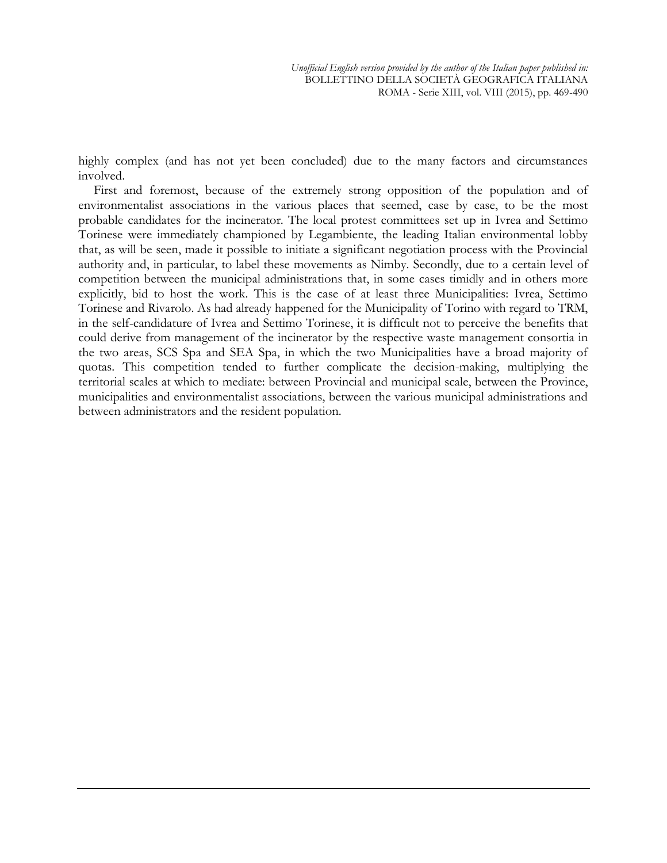highly complex (and has not yet been concluded) due to the many factors and circumstances involved.

First and foremost, because of the extremely strong opposition of the population and of environmentalist associations in the various places that seemed, case by case, to be the most probable candidates for the incinerator. The local protest committees set up in Ivrea and Settimo Torinese were immediately championed by Legambiente, the leading Italian environmental lobby that, as will be seen, made it possible to initiate a significant negotiation process with the Provincial authority and, in particular, to label these movements as Nimby. Secondly, due to a certain level of competition between the municipal administrations that, in some cases timidly and in others more explicitly, bid to host the work. This is the case of at least three Municipalities: Ivrea, Settimo Torinese and Rivarolo. As had already happened for the Municipality of Torino with regard to TRM, in the self-candidature of Ivrea and Settimo Torinese, it is difficult not to perceive the benefits that could derive from management of the incinerator by the respective waste management consortia in the two areas, SCS Spa and SEA Spa, in which the two Municipalities have a broad majority of quotas. This competition tended to further complicate the decision-making, multiplying the territorial scales at which to mediate: between Provincial and municipal scale, between the Province, municipalities and environmentalist associations, between the various municipal administrations and between administrators and the resident population.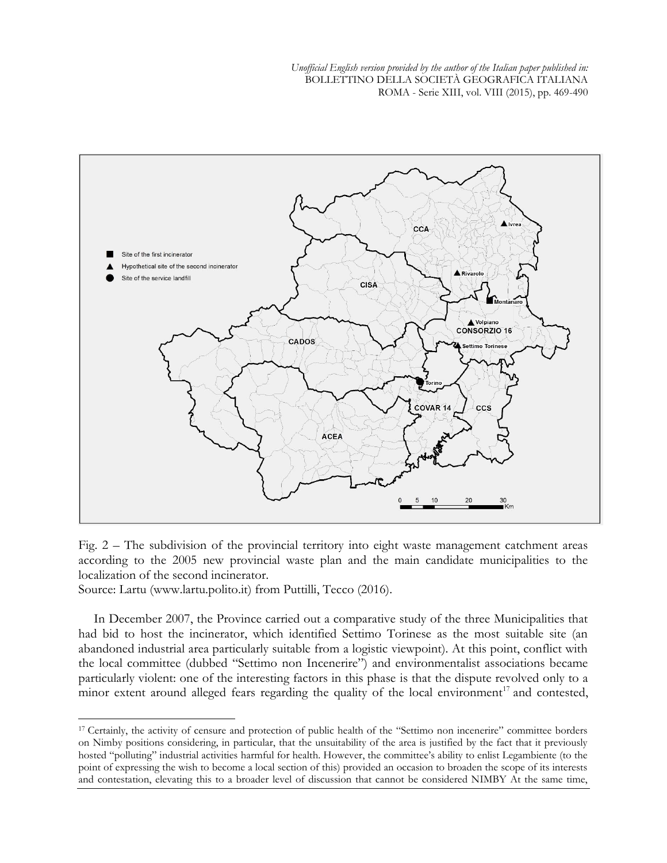*Unofficial English version provided by the author of the Italian paper published in:* BOLLETTINO DELLA SOCIETÀ GEOGRAFICA ITALIANA ROMA - Serie XIII, vol. VIII (2015), pp. 469-490



Fig. 2 – The subdivision of the provincial territory into eight waste management catchment areas according to the 2005 new provincial waste plan and the main candidate municipalities to the localization of the second incinerator.

Source: Lartu (www.lartu.polito.it) from Puttilli, Tecco (2016).

 $\overline{a}$ 

In December 2007, the Province carried out a comparative study of the three Municipalities that had bid to host the incinerator, which identified Settimo Torinese as the most suitable site (an abandoned industrial area particularly suitable from a logistic viewpoint). At this point, conflict with the local committee (dubbed "Settimo non Incenerire") and environmentalist associations became particularly violent: one of the interesting factors in this phase is that the dispute revolved only to a minor extent around alleged fears regarding the quality of the local environment<sup>17</sup> and contested,

<sup>&</sup>lt;sup>17</sup> Certainly, the activity of censure and protection of public health of the "Settimo non incenerire" committee borders on Nimby positions considering, in particular, that the unsuitability of the area is justified by the fact that it previously hosted "polluting" industrial activities harmful for health. However, the committee's ability to enlist Legambiente (to the point of expressing the wish to become a local section of this) provided an occasion to broaden the scope of its interests and contestation, elevating this to a broader level of discussion that cannot be considered NIMBY At the same time,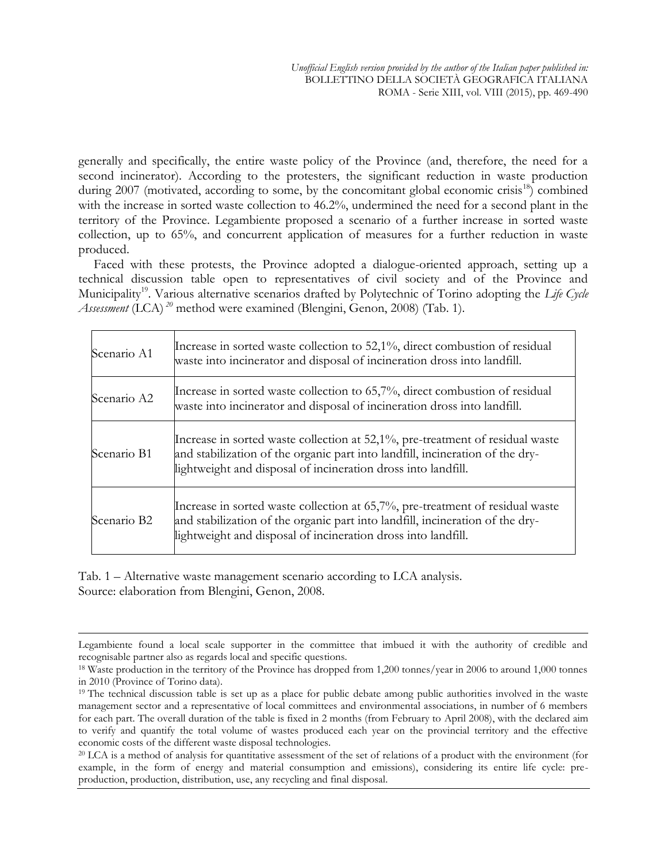generally and specifically, the entire waste policy of the Province (and, therefore, the need for a second incinerator). According to the protesters, the significant reduction in waste production during 2007 (motivated, according to some, by the concomitant global economic crisis<sup>18</sup>) combined with the increase in sorted waste collection to 46.2%, undermined the need for a second plant in the territory of the Province. Legambiente proposed a scenario of a further increase in sorted waste collection, up to 65%, and concurrent application of measures for a further reduction in waste produced.

Faced with these protests, the Province adopted a dialogue-oriented approach, setting up a technical discussion table open to representatives of civil society and of the Province and Municipality<sup>19</sup>. Various alternative scenarios drafted by Polytechnic of Torino adopting the *Life Cycle Assessment* (LCA) *<sup>20</sup>* method were examined (Blengini, Genon, 2008) (Tab. 1).

| Scenario A1 | Increase in sorted waste collection to 52,1%, direct combustion of residual<br>waste into incinerator and disposal of incineration dross into landfill.                                                                             |
|-------------|-------------------------------------------------------------------------------------------------------------------------------------------------------------------------------------------------------------------------------------|
| Scenario A2 | Increase in sorted waste collection to 65,7%, direct combustion of residual<br>waste into incinerator and disposal of incineration dross into landfill.                                                                             |
| Scenario B1 | Increase in sorted waste collection at $52,1\%$ , pre-treatment of residual waste<br>and stabilization of the organic part into landfill, incineration of the dry-<br>lightweight and disposal of incineration dross into landfill. |
| Scenario B2 | Increase in sorted waste collection at $65,7\%$ , pre-treatment of residual waste<br>and stabilization of the organic part into landfill, incineration of the dry-<br>lightweight and disposal of incineration dross into landfill. |

Tab. 1 – Alternative waste management scenario according to LCA analysis. Source: elaboration from Blengini, Genon, 2008.

Legambiente found a local scale supporter in the committee that imbued it with the authority of credible and recognisable partner also as regards local and specific questions.

<sup>18</sup> Waste production in the territory of the Province has dropped from 1,200 tonnes/year in 2006 to around 1,000 tonnes in 2010 (Province of Torino data).

<sup>&</sup>lt;sup>19</sup> The technical discussion table is set up as a place for public debate among public authorities involved in the waste management sector and a representative of local committees and environmental associations, in number of 6 members for each part. The overall duration of the table is fixed in 2 months (from February to April 2008), with the declared aim to verify and quantify the total volume of wastes produced each year on the provincial territory and the effective economic costs of the different waste disposal technologies.

<sup>&</sup>lt;sup>20</sup> LCA is a method of analysis for quantitative assessment of the set of relations of a product with the environment (for example, in the form of energy and material consumption and emissions), considering its entire life cycle: preproduction, production, distribution, use, any recycling and final disposal.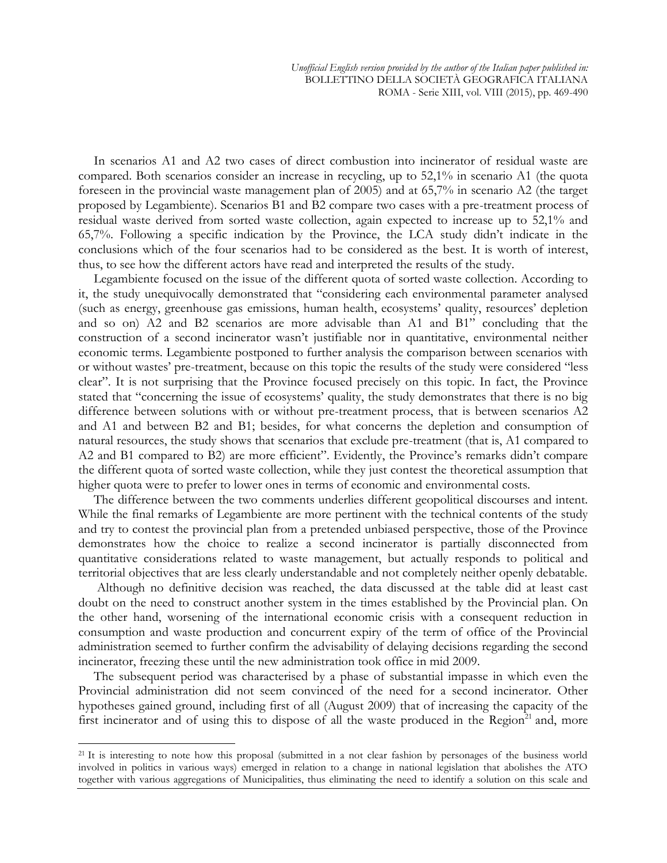In scenarios A1 and A2 two cases of direct combustion into incinerator of residual waste are compared. Both scenarios consider an increase in recycling, up to 52,1% in scenario A1 (the quota foreseen in the provincial waste management plan of 2005) and at 65,7% in scenario A2 (the target proposed by Legambiente). Scenarios B1 and B2 compare two cases with a pre-treatment process of residual waste derived from sorted waste collection, again expected to increase up to 52,1% and 65,7%. Following a specific indication by the Province, the LCA study didn't indicate in the conclusions which of the four scenarios had to be considered as the best. It is worth of interest, thus, to see how the different actors have read and interpreted the results of the study.

Legambiente focused on the issue of the different quota of sorted waste collection. According to it, the study unequivocally demonstrated that "considering each environmental parameter analysed (such as energy, greenhouse gas emissions, human health, ecosystems' quality, resources' depletion and so on) A2 and B2 scenarios are more advisable than A1 and B1" concluding that the construction of a second incinerator wasn't justifiable nor in quantitative, environmental neither economic terms. Legambiente postponed to further analysis the comparison between scenarios with or without wastes' pre-treatment, because on this topic the results of the study were considered "less clear". It is not surprising that the Province focused precisely on this topic. In fact, the Province stated that "concerning the issue of ecosystems' quality, the study demonstrates that there is no big difference between solutions with or without pre-treatment process, that is between scenarios A2 and A1 and between B2 and B1; besides, for what concerns the depletion and consumption of natural resources, the study shows that scenarios that exclude pre-treatment (that is, A1 compared to A2 and B1 compared to B2) are more efficient". Evidently, the Province's remarks didn't compare the different quota of sorted waste collection, while they just contest the theoretical assumption that higher quota were to prefer to lower ones in terms of economic and environmental costs.

The difference between the two comments underlies different geopolitical discourses and intent. While the final remarks of Legambiente are more pertinent with the technical contents of the study and try to contest the provincial plan from a pretended unbiased perspective, those of the Province demonstrates how the choice to realize a second incinerator is partially disconnected from quantitative considerations related to waste management, but actually responds to political and territorial objectives that are less clearly understandable and not completely neither openly debatable.

Although no definitive decision was reached, the data discussed at the table did at least cast doubt on the need to construct another system in the times established by the Provincial plan. On the other hand, worsening of the international economic crisis with a consequent reduction in consumption and waste production and concurrent expiry of the term of office of the Provincial administration seemed to further confirm the advisability of delaying decisions regarding the second incinerator, freezing these until the new administration took office in mid 2009.

The subsequent period was characterised by a phase of substantial impasse in which even the Provincial administration did not seem convinced of the need for a second incinerator. Other hypotheses gained ground, including first of all (August 2009) that of increasing the capacity of the first incinerator and of using this to dispose of all the waste produced in the Region $^{21}$  and, more

<sup>&</sup>lt;sup>21</sup> It is interesting to note how this proposal (submitted in a not clear fashion by personages of the business world involved in politics in various ways) emerged in relation to a change in national legislation that abolishes the ATO together with various aggregations of Municipalities, thus eliminating the need to identify a solution on this scale and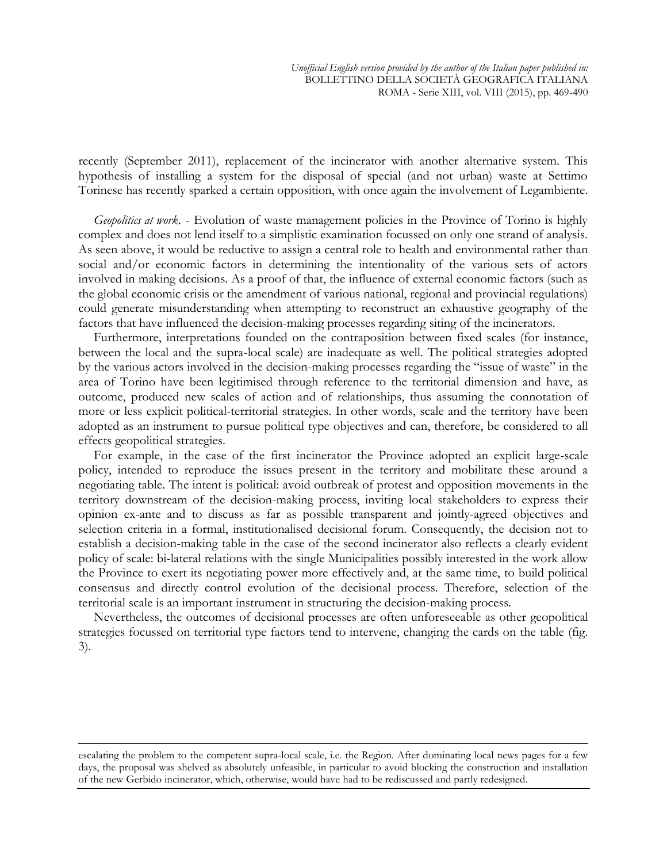recently (September 2011), replacement of the incinerator with another alternative system. This hypothesis of installing a system for the disposal of special (and not urban) waste at Settimo Torinese has recently sparked a certain opposition, with once again the involvement of Legambiente.

*Geopolitics at work.* - Evolution of waste management policies in the Province of Torino is highly complex and does not lend itself to a simplistic examination focussed on only one strand of analysis. As seen above, it would be reductive to assign a central role to health and environmental rather than social and/or economic factors in determining the intentionality of the various sets of actors involved in making decisions. As a proof of that, the influence of external economic factors (such as the global economic crisis or the amendment of various national, regional and provincial regulations) could generate misunderstanding when attempting to reconstruct an exhaustive geography of the factors that have influenced the decision-making processes regarding siting of the incinerators.

Furthermore, interpretations founded on the contraposition between fixed scales (for instance, between the local and the supra-local scale) are inadequate as well. The political strategies adopted by the various actors involved in the decision-making processes regarding the "issue of waste" in the area of Torino have been legitimised through reference to the territorial dimension and have, as outcome, produced new scales of action and of relationships, thus assuming the connotation of more or less explicit political-territorial strategies. In other words, scale and the territory have been adopted as an instrument to pursue political type objectives and can, therefore, be considered to all effects geopolitical strategies.

For example, in the case of the first incinerator the Province adopted an explicit large-scale policy, intended to reproduce the issues present in the territory and mobilitate these around a negotiating table. The intent is political: avoid outbreak of protest and opposition movements in the territory downstream of the decision-making process, inviting local stakeholders to express their opinion ex-ante and to discuss as far as possible transparent and jointly-agreed objectives and selection criteria in a formal, institutionalised decisional forum. Consequently, the decision not to establish a decision-making table in the case of the second incinerator also reflects a clearly evident policy of scale: bi-lateral relations with the single Municipalities possibly interested in the work allow the Province to exert its negotiating power more effectively and, at the same time, to build political consensus and directly control evolution of the decisional process. Therefore, selection of the territorial scale is an important instrument in structuring the decision-making process.

Nevertheless, the outcomes of decisional processes are often unforeseeable as other geopolitical strategies focussed on territorial type factors tend to intervene, changing the cards on the table (fig. 3).

escalating the problem to the competent supra-local scale, i.e. the Region. After dominating local news pages for a few days, the proposal was shelved as absolutely unfeasible, in particular to avoid blocking the construction and installation of the new Gerbido incinerator, which, otherwise, would have had to be rediscussed and partly redesigned.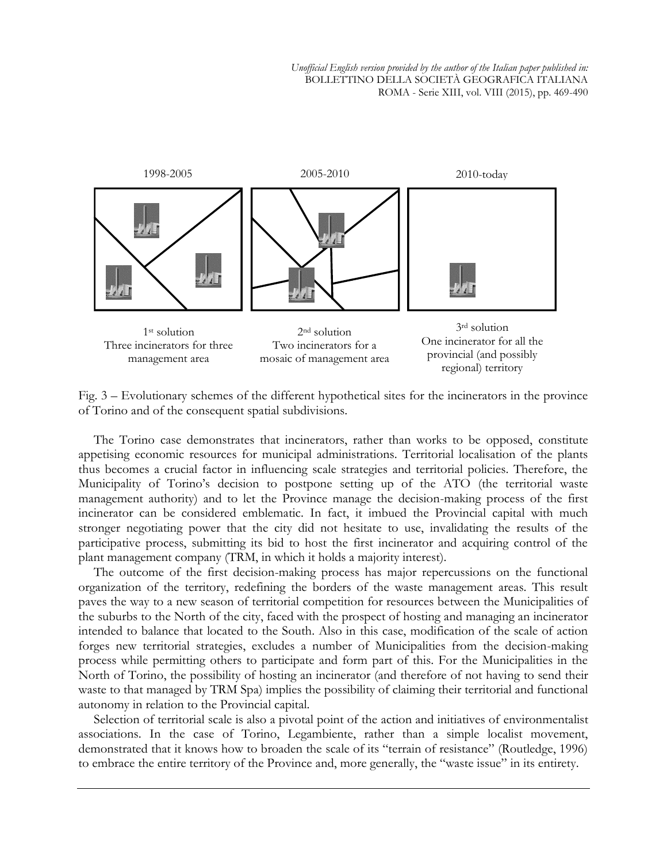*Unofficial English version provided by the author of the Italian paper published in:* BOLLETTINO DELLA SOCIETÀ GEOGRAFICA ITALIANA ROMA - Serie XIII, vol. VIII (2015), pp. 469-490



Fig. 3 – Evolutionary schemes of the different hypothetical sites for the incinerators in the province of Torino and of the consequent spatial subdivisions.

The Torino case demonstrates that incinerators, rather than works to be opposed, constitute appetising economic resources for municipal administrations. Territorial localisation of the plants thus becomes a crucial factor in influencing scale strategies and territorial policies. Therefore, the Municipality of Torino's decision to postpone setting up of the ATO (the territorial waste management authority) and to let the Province manage the decision-making process of the first incinerator can be considered emblematic. In fact, it imbued the Provincial capital with much stronger negotiating power that the city did not hesitate to use, invalidating the results of the participative process, submitting its bid to host the first incinerator and acquiring control of the plant management company (TRM, in which it holds a majority interest).

The outcome of the first decision-making process has major repercussions on the functional organization of the territory, redefining the borders of the waste management areas. This result paves the way to a new season of territorial competition for resources between the Municipalities of the suburbs to the North of the city, faced with the prospect of hosting and managing an incinerator intended to balance that located to the South. Also in this case, modification of the scale of action forges new territorial strategies, excludes a number of Municipalities from the decision-making process while permitting others to participate and form part of this. For the Municipalities in the North of Torino, the possibility of hosting an incinerator (and therefore of not having to send their waste to that managed by TRM Spa) implies the possibility of claiming their territorial and functional autonomy in relation to the Provincial capital.

Selection of territorial scale is also a pivotal point of the action and initiatives of environmentalist associations. In the case of Torino, Legambiente, rather than a simple localist movement, demonstrated that it knows how to broaden the scale of its "terrain of resistance" (Routledge, 1996) to embrace the entire territory of the Province and, more generally, the "waste issue" in its entirety.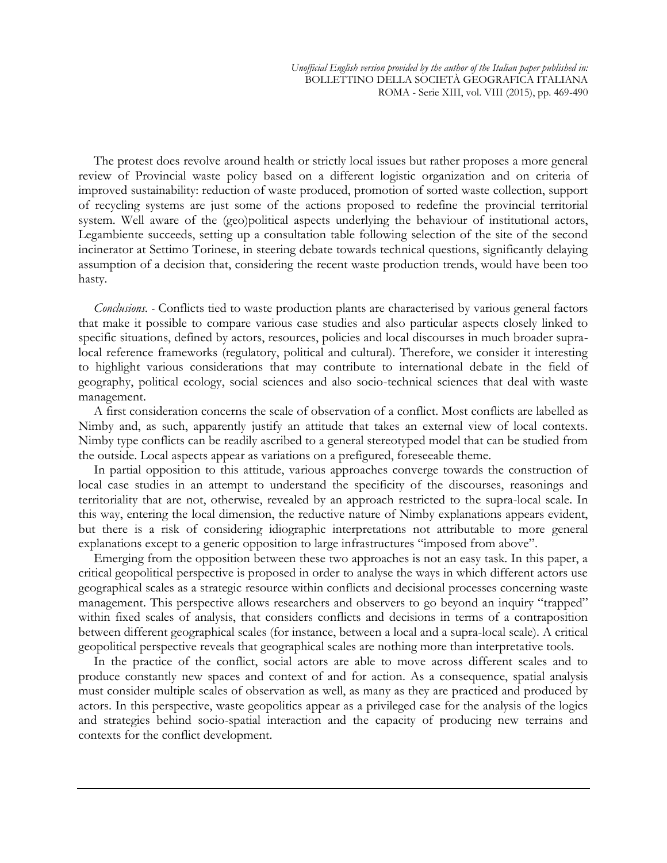The protest does revolve around health or strictly local issues but rather proposes a more general review of Provincial waste policy based on a different logistic organization and on criteria of improved sustainability: reduction of waste produced, promotion of sorted waste collection, support of recycling systems are just some of the actions proposed to redefine the provincial territorial system. Well aware of the (geo)political aspects underlying the behaviour of institutional actors, Legambiente succeeds, setting up a consultation table following selection of the site of the second incinerator at Settimo Torinese, in steering debate towards technical questions, significantly delaying assumption of a decision that, considering the recent waste production trends, would have been too hasty.

*Conclusions. -* Conflicts tied to waste production plants are characterised by various general factors that make it possible to compare various case studies and also particular aspects closely linked to specific situations, defined by actors, resources, policies and local discourses in much broader supralocal reference frameworks (regulatory, political and cultural). Therefore, we consider it interesting to highlight various considerations that may contribute to international debate in the field of geography, political ecology, social sciences and also socio-technical sciences that deal with waste management.

A first consideration concerns the scale of observation of a conflict. Most conflicts are labelled as Nimby and, as such, apparently justify an attitude that takes an external view of local contexts. Nimby type conflicts can be readily ascribed to a general stereotyped model that can be studied from the outside. Local aspects appear as variations on a prefigured, foreseeable theme.

In partial opposition to this attitude, various approaches converge towards the construction of local case studies in an attempt to understand the specificity of the discourses, reasonings and territoriality that are not, otherwise, revealed by an approach restricted to the supra-local scale. In this way, entering the local dimension, the reductive nature of Nimby explanations appears evident, but there is a risk of considering idiographic interpretations not attributable to more general explanations except to a generic opposition to large infrastructures "imposed from above".

Emerging from the opposition between these two approaches is not an easy task. In this paper, a critical geopolitical perspective is proposed in order to analyse the ways in which different actors use geographical scales as a strategic resource within conflicts and decisional processes concerning waste management. This perspective allows researchers and observers to go beyond an inquiry "trapped" within fixed scales of analysis, that considers conflicts and decisions in terms of a contraposition between different geographical scales (for instance, between a local and a supra-local scale). A critical geopolitical perspective reveals that geographical scales are nothing more than interpretative tools.

In the practice of the conflict, social actors are able to move across different scales and to produce constantly new spaces and context of and for action. As a consequence, spatial analysis must consider multiple scales of observation as well, as many as they are practiced and produced by actors. In this perspective, waste geopolitics appear as a privileged case for the analysis of the logics and strategies behind socio-spatial interaction and the capacity of producing new terrains and contexts for the conflict development.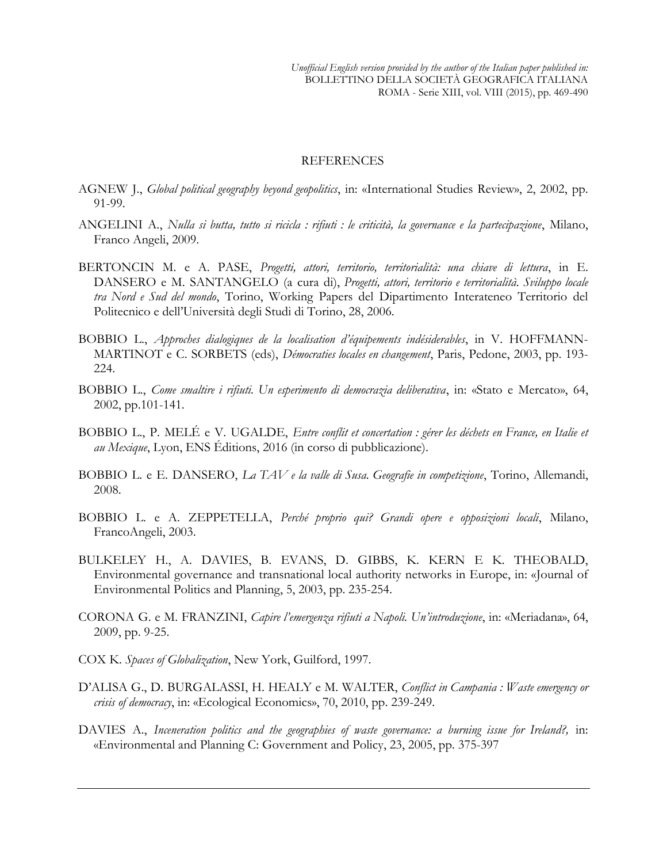## REFERENCES

- AGNEW J., *Global political geography beyond geopolitics*, in: «International Studies Review», 2, 2002, pp. 91-99.
- ANGELINI A., *[Nulla si butta, tutto si ricicla : rifiuti : le criticità, la governance e la partecipazione](http://www.sbn.it/opacsbn/opaclib?db=iccu&select_db=iccu&nentries=1&from=14&searchForm=opac/iccu/error.jsp&resultForward=opac/iccu/full.jsp&do=search_show_cmd&rpnlabel=+Soggetto+%3D+rifiuti+&rpnquery=%40attrset+bib-1++%40attr+1%3D21+%40attr+4%3D2+%22rifiuti%22&sortquery=+DESC++BY+%40attrset+bib-1++%40attr+1%3D31++BY+%40attrset+bib-1++%40attr+1%3D4++BY+%40attrset+bib-1++%40attr+1%3D1003+&sortlabel=Data_discendente&totalResult=1014&ricerca=base&fname=none&brief=brief)*, Milano, Franco Angeli, 2009.
- BERTONCIN M. e A. PASE, *Progetti, attori, territorio, territorialità: una chiave di lettura*, in E. DANSERO e M. SANTANGELO (a cura di), *Progetti, attori, territorio e territorialità. Sviluppo locale tra Nord e Sud del mondo*, Torino, Working Papers del Dipartimento Interateneo Territorio del Politecnico e dell'Università degli Studi di Torino, 28, 2006.
- BOBBIO L., *Approches dialogiques de la localisation d'équipements indésiderables*, in V. HOFFMANN-MARTINOT e C. SORBETS (eds), *Démocraties locales en changement*, Paris, Pedone, 2003, pp. 193- 224.
- BOBBIO L., *Come smaltire i rifiuti. Un esperimento di democrazia deliberativa*, in: «Stato e Mercato», 64, 2002, pp.101-141.
- BOBBIO L., P. MELÉ e V. UGALDE, *Entre conflit et concertation : gérer les déchets en France, en Italie et au Mexique*, Lyon, ENS Éditions, 2016 (in corso di pubblicazione).
- BOBBIO L. e E. DANSERO, *La TAV e la valle di Susa. Geografie in competizione*, Torino, Allemandi, 2008.
- BOBBIO L. e A. ZEPPETELLA, *Perché proprio qui? Grandi opere e opposizioni locali*, Milano, FrancoAngeli, 2003.
- BULKELEY H., A. DAVIES, B. EVANS, D. GIBBS, K. KERN E K. THEOBALD, Environmental governance and transnational local authority networks in Europe, in: «Journal of Environmental Politics and Planning, 5, 2003, pp. 235-254.
- CORONA G. e M. FRANZINI, *Capire l'emergenza rifiuti a Napoli. Un'introduzione*, in: «Meriadana», 64, 2009, pp. 9-25.
- COX K. *Spaces of Globalization*, New York, Guilford, 1997.
- D'ALISA G., D. BURGALASSI, H. HEALY e M. WALTER, *Conflict in Campania : Waste emergency or crisis of democracy*, in: «Ecological Economics», 70, 2010, pp. 239-249.
- DAVIES A., *Inceneration politics and the geographies of waste governance: a burning issue for Ireland?,* in: «Environmental and Planning C: Government and Policy, 23, 2005, pp. 375-397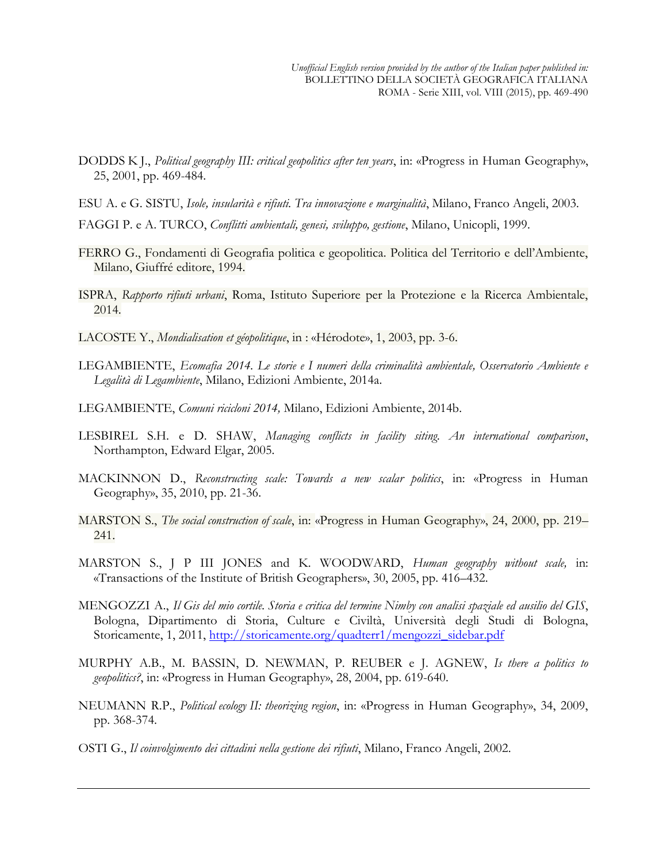- DODDS K J., *Political geography III: critical geopolitics after ten years*, in: «Progress in Human Geography», 25, 2001, pp. 469-484.
- ESU A. e G. SISTU, *Isole, insularità e rifiuti. Tra innovazione e marginalità*, Milano, Franco Angeli, 2003.
- FAGGI P. e A. TURCO, *Conflitti ambientali, genesi, sviluppo, gestione*, Milano, Unicopli, 1999.
- FERRO G., Fondamenti di Geografia politica e geopolitica. Politica del Territorio e dell'Ambiente, Milano, Giuffré editore, 1994.
- ISPRA, *Rapporto rifiuti urbani*, Roma, Istituto Superiore per la Protezione e la Ricerca Ambientale, 2014.
- LACOSTE Y., *Mondialisation et géopolitique*, in : «Hérodote», 1, 2003, pp. 3-6.
- LEGAMBIENTE, *Ecomafia 2014. Le storie e I numeri della criminalità ambientale, Osservatorio Ambiente e Legalità di Legambiente*, Milano, Edizioni Ambiente, 2014a.
- LEGAMBIENTE, *Comuni ricicloni 2014,* Milano, Edizioni Ambiente, 2014b.
- LESBIREL S.H. e D. SHAW, *Managing conflicts in facility siting. An international comparison*, Northampton, Edward Elgar, 2005.
- MACKINNON D., *Reconstructing scale: Towards a new scalar politics*, in: «Progress in Human Geography», 35, 2010, pp. 21-36.
- MARSTON S., *The social construction of scale*, in: «Progress in Human Geography», 24, 2000, pp. 219– 241.
- MARSTON S., J P III JONES and K. WOODWARD, *Human geography without scale,* in: «Transactions of the Institute of British Geographers», 30, 2005, pp. 416–432.
- MENGOZZI A., Il Gis del mio cortile. Storia e critica del termine Nimby con analisi spaziale ed ausilio del GIS, Bologna, Dipartimento di Storia, Culture e Civiltà, Università degli Studi di Bologna, Storicamente, 1, 2011, [http://storicamente.org/quadterr1/mengozzi\\_sidebar.pdf](http://storicamente.org/quadterr1/mengozzi_sidebar.pdf)
- MURPHY A.B., M. BASSIN, D. NEWMAN, P. REUBER e J. AGNEW, *Is there a politics to geopolitics?*, in: «Progress in Human Geography», 28, 2004, pp. 619-640.
- NEUMANN R.P., *Political ecology II: theorizing region*, in: «Progress in Human Geography», 34, 2009, pp. 368-374.
- OSTI G., *Il coinvolgimento dei cittadini nella gestione dei rifiuti*, Milano, Franco Angeli, 2002.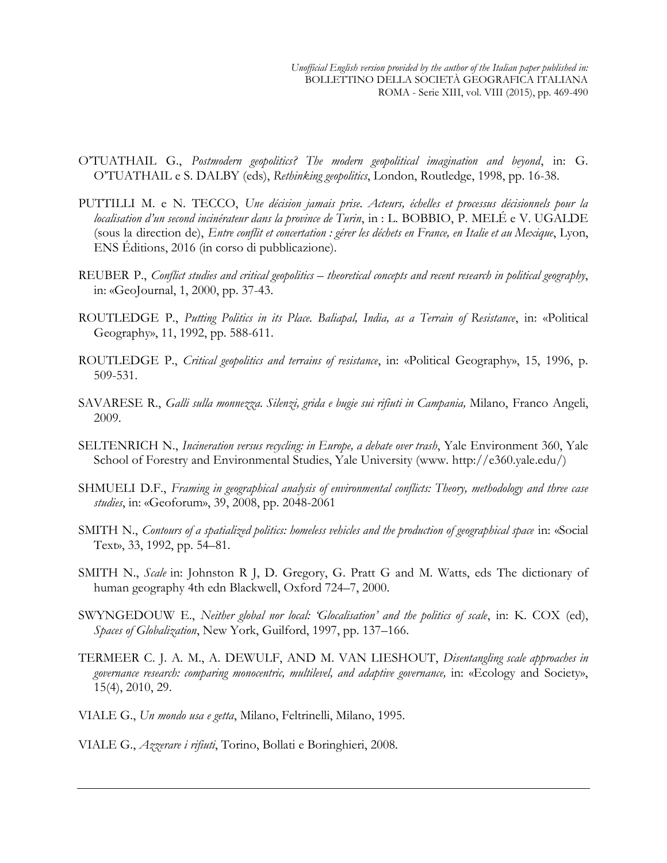- O'TUATHAIL G., *Postmodern geopolitics? The modern geopolitical imagination and beyond*, in: G. O'TUATHAIL e S. DALBY (eds), *Rethinking geopolitics*, London, Routledge, 1998, pp. 16-38.
- PUTTILLI M. e N. TECCO, *Une décision jamais prise. Acteurs, échelles et processus décisionnels pour la localisation d'un second incinérateur dans la province de Turin*, in : L. BOBBIO, P. MELÉ e V. UGALDE (sous la direction de), *Entre conflit et concertation : gérer les déchets en France, en Italie et au Mexique*, Lyon, ENS Éditions, 2016 (in corso di pubblicazione).
- REUBER P., *Conflict studies and critical geopolitics – theoretical concepts and recent research in political geography*, in: «GeoJournal, 1, 2000, pp. 37-43.
- ROUTLEDGE P., *Putting Politics in its Place. Baliapal, India, as a Terrain of Resistance*, in: «Political Geography», 11, 1992, pp. 588-611.
- ROUTLEDGE P., *Critical geopolitics and terrains of resistance*, in: «Political Geography», 15, 1996, p. 509-531.
- SAVARESE R., *Galli sulla monnezza. Silenzi, grida e bugie sui rifiuti in Campania,* Milano, Franco Angeli, 2009.
- SELTENRICH N., *Incineration versus recycling: in Europe, a debate over trash*, Yale Environment 360, Yale School of Forestry and Environmental Studies, Yale University (www. http://e360.yale.edu/)
- SHMUELI D.F., *Framing in geographical analysis of environmental conflicts: Theory, methodology and three case studies*, in: «Geoforum», 39, 2008, pp. 2048-2061
- SMITH N., *Contours of a spatialized politics: homeless vehicles and the production of geographical space* in: «Social Text», 33, 1992, pp. 54–81.
- SMITH N., *Scale* in: Johnston R J, D. Gregory, G. Pratt G and M. Watts, eds The dictionary of human geography 4th edn Blackwell, Oxford 724–7, 2000.
- SWYNGEDOUW E., *Neither global nor local: 'Glocalisation' and the politics of scale*, in: K. COX (ed), *Spaces of Globalization*, New York, Guilford, 1997, pp. 137–166.
- TERMEER C. J. A. M., A. DEWULF, AND M. VAN LIESHOUT, *Disentangling scale approaches in governance research: comparing monocentric, multilevel, and adaptive governance,* in: «Ecology and Society», 15(4), 2010, 29.
- VIALE G., *Un mondo usa e getta*, Milano, Feltrinelli, Milano, 1995.
- VIALE G., *Azzerare i rifiuti*, Torino, Bollati e Boringhieri, 2008.